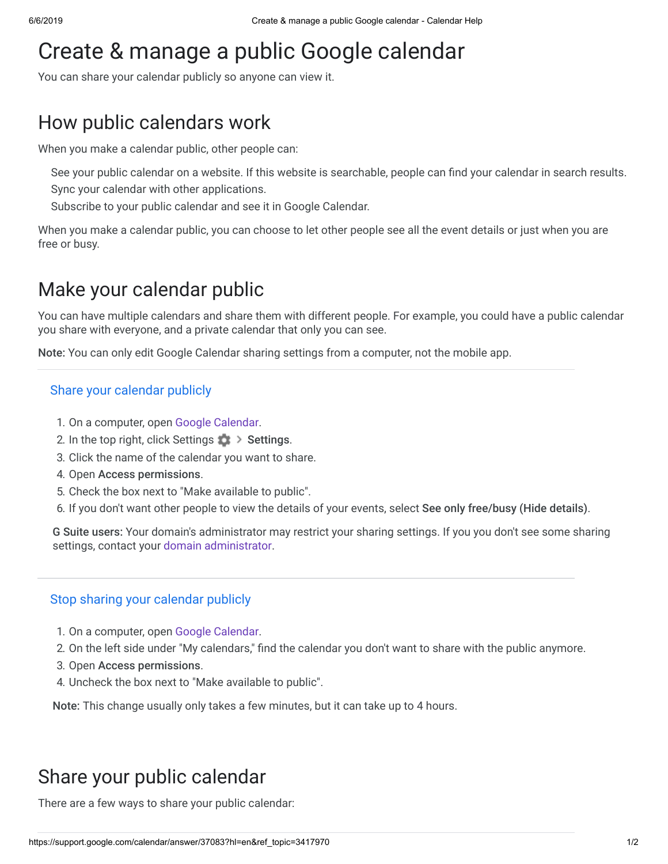# Create & manage a public Google calendar

You can share your calendar publicly so anyone can view it.

## How public calendars work

When you make a calendar public, other people can:

See your public calendar on a website. If this website is searchable, people can find your calendar in search results. Sync your calendar with other applications.

Subscribe to your public calendar and see it in Google Calendar.

When you make a calendar public, you can choose to let other people see all the event details or just when you are free or busy.

### Make your calendar public

You can have multiple calendars and share them with different people. For example, you could have a public calendar you share with everyone, and a private calendar that only you can see.

Note: You can only edit Google Calendar sharing settings from a computer, not the mobile app.

#### Share your calendar publicly

- 1. On a computer, open [Google Calendar](https://calendar.google.com/).
- 2. In the top right, click Settings  $\rightarrow$  Settings.
- 3. Click the name of the calendar you want to share.
- 4. Open Access permissions.
- 5. Check the box next to "Make available to public".
- 6. If you don't want other people to view the details of your events, select See only free/busy (Hide details).

G Suite users: Your domain's administrator may restrict your sharing settings. If you you don't see some sharing settings, contact your [domain administrator](https://support.google.com/a/answer/60765).

#### Stop sharing your calendar publicly

- 1. On a computer, open [Google Calendar](https://calendar.google.com/).
- 2. On the left side under "My calendars," find the calendar you don't want to share with the public anymore.
- 3. Open Access permissions.
- 4. Uncheck the box next to "Make available to public".

Note: This change usually only takes a few minutes, but it can take up to 4 hours.

### Share your public calendar

There are a few ways to share your public calendar: